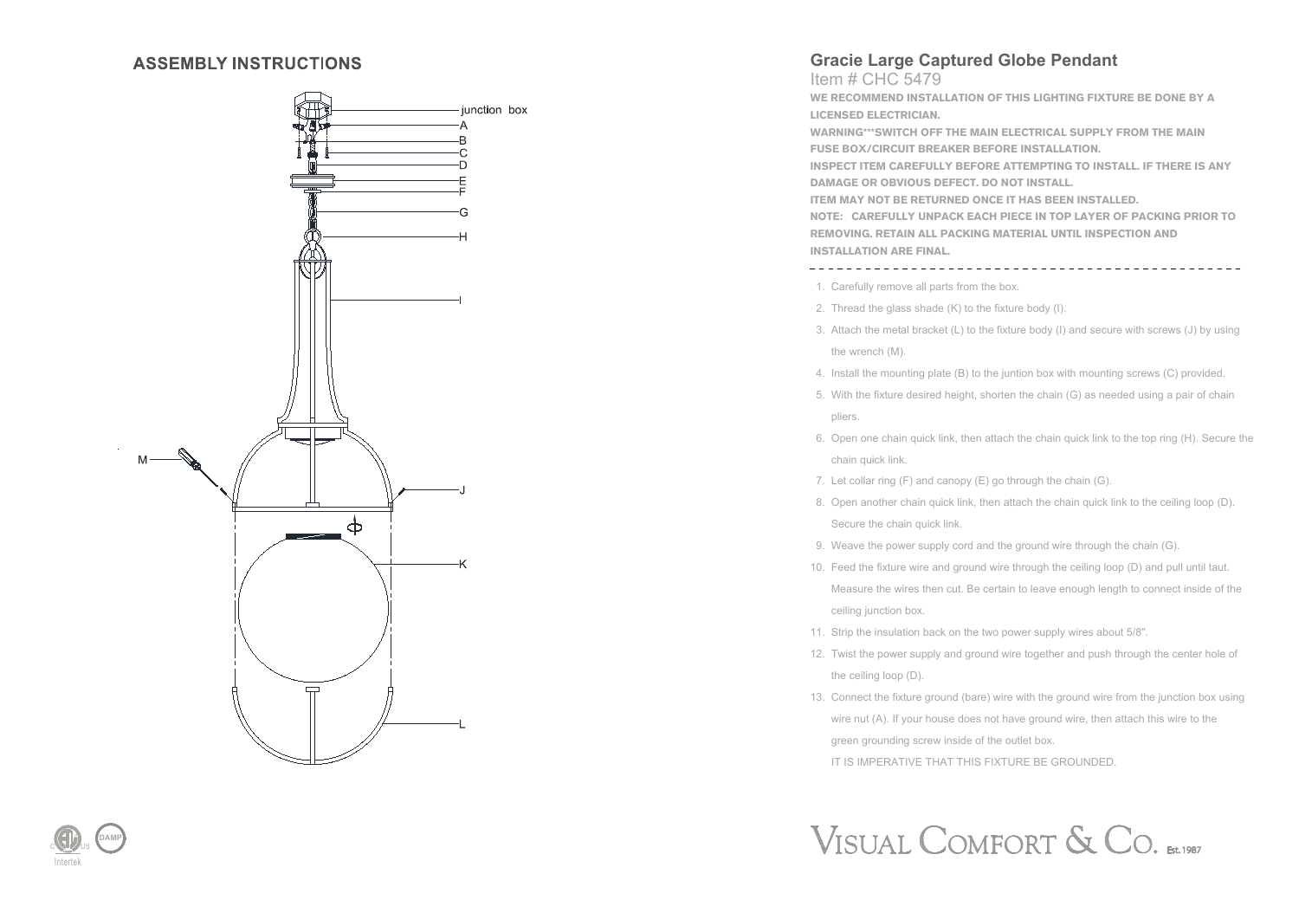## **ASSEMBLY INSTRUCTIONS**



## **Gracie Large Captured Globe Pendant**

Item # CHC 5479 **WE RECOMMEND INSTALLATION OF THIS LIGHTING FIXTURE BE DONE BY A**

**LICENSED ELECTRICIAN.**

**WARNING\*\*\*SWITCH OFF THE MAIN ELECTRICAL SUPPLY FROM THE MAIN FUSE BOX/CIRCUIT BREAKER BEFORE INSTALLATION.**

**INSPECT ITEM CAREFULLY BEFORE ATTEMPTING TO INSTALL. IF THERE IS ANY DAMAGE OR OBVIOUS DEFECT. DO NOT INSTALL.**

**ITEM MAY NOT BE RETURNED ONCE IT HAS BEEN INSTALLED.**

**NOTE: CAREFULLY UNPACK EACH PIECE IN TOP LAYER OF PACKING PRIOR TO REMOVING. RETAIN ALL PACKING MATERIAL UNTIL INSPECTION AND INSTALLATION ARE FINAL.** 

1. Carefully remove all parts from the box.

- 2. Thread the glass shade (K) to the fixture body (I).
- 3. Attach the metal bracket (L) to the fixture body (I) and secure with screws (J) by using the wrench (M).
- 4. Install the mounting plate (B) to the juntion box with mounting screws (C) provided.
- 5. With the fixture desired height, shorten the chain (G) as needed using a pair of chain pliers.
- 6. Open one chain quick link, then attach the chain quick link to the top ring (H). Secure the chain quick link.
- 7. Let collar ring (F) and canopy (E) go through the chain (G).
- 8. Open another chain quick link, then attach the chain quick link to the ceiling loop (D). Secure the chain quick link.
- 9. Weave the power supply cord and the ground wire through the chain (G).
- 10. Feed the fixture wire and ground wire through the ceiling loop (D) and pull until taut. Measure the wires then cut. Be certain to leave enough length to connect inside of the ceiling junction box.
- 11. Strip the insulation back on the two power supply wires about 5/8".
- 12. Twist the power supply and ground wire together and push through the center hole of the ceiling loop (D).
- 13. Connect the fixture ground (bare) wire with the ground wire from the junction box using wire nut (A). If your house does not have ground wire, then attach this wire to the green grounding screw inside of the outlet box. IT IS IMPERATIVE THAT THIS FIXTURE BE GROUNDED.